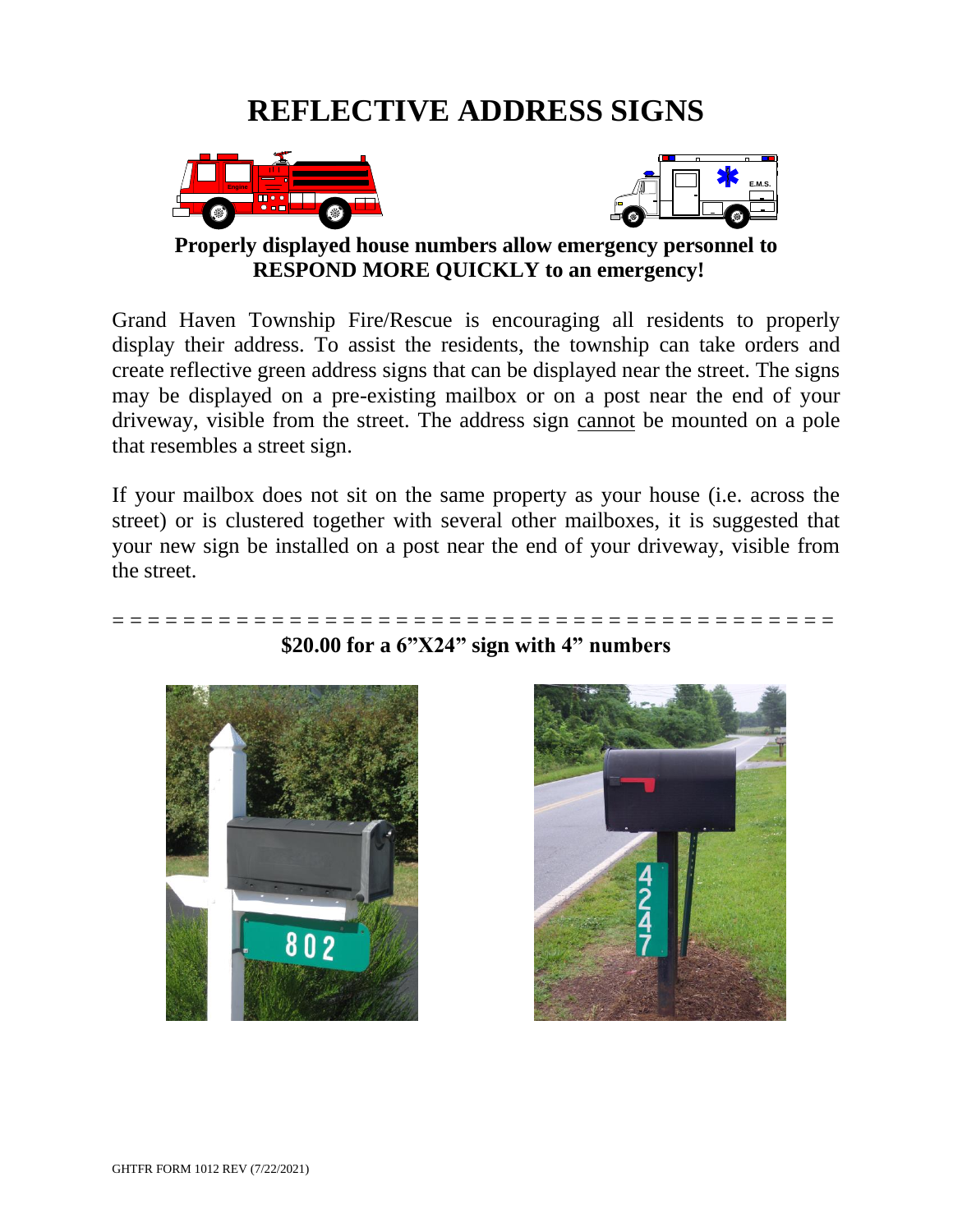# **REFLECTIVE ADDRESS SIGNS**





**Properly displayed house numbers allow emergency personnel to RESPOND MORE QUICKLY to an emergency!**

Grand Haven Township Fire/Rescue is encouraging all residents to properly display their address. To assist the residents, the township can take orders and create reflective green address signs that can be displayed near the street. The signs may be displayed on a pre-existing mailbox or on a post near the end of your driveway, visible from the street. The address sign cannot be mounted on a pole that resembles a street sign.

If your mailbox does not sit on the same property as your house (i.e. across the street) or is clustered together with several other mailboxes, it is suggested that your new sign be installed on a post near the end of your driveway, visible from the street.



### **\$20.00 for a 6"X24" sign with 4" numbers**

= = = = = = = = = = = = = = = = = = = = = = = = = = = = = = = = = = = = = = = = =

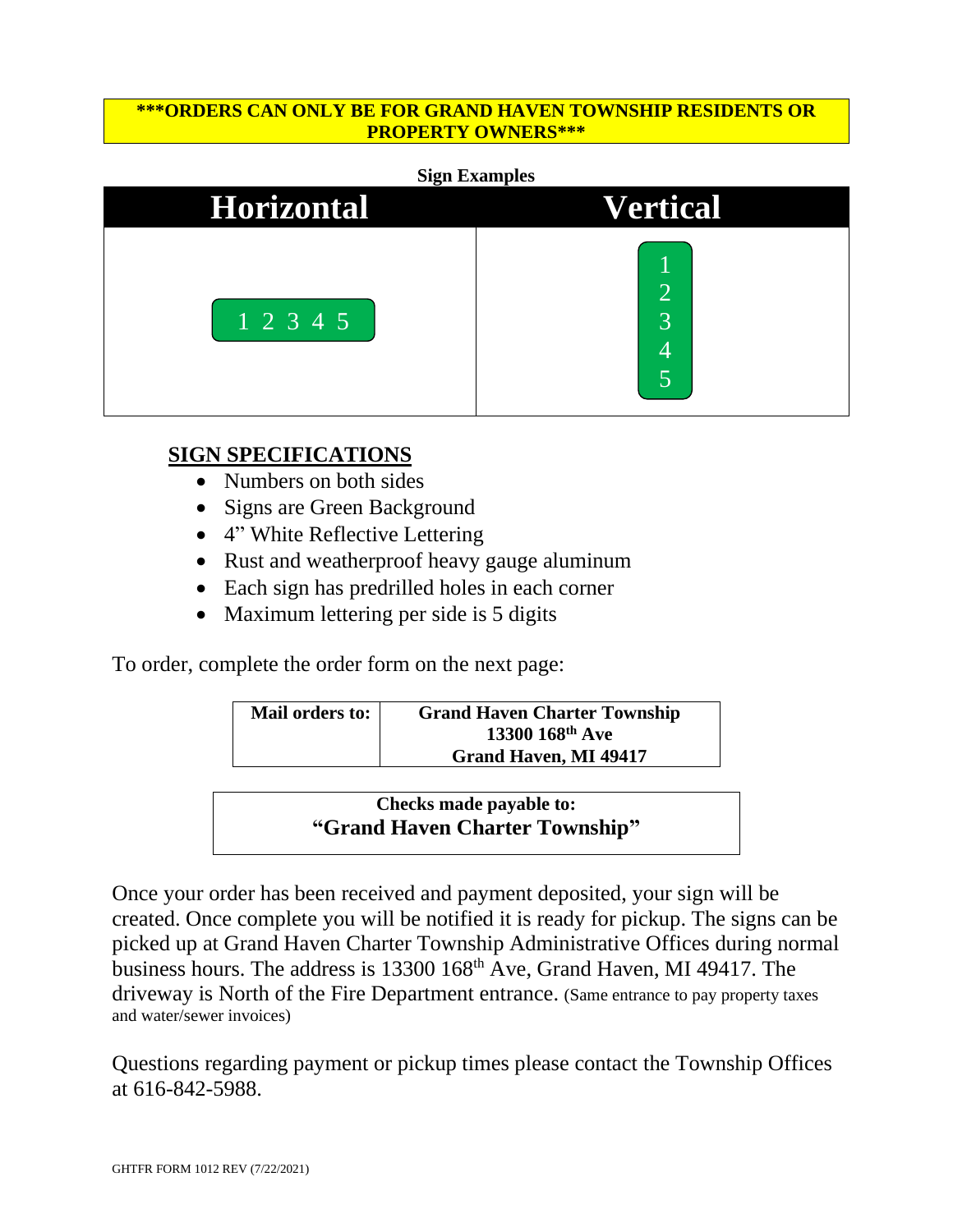### **\*\*\*ORDERS CAN ONLY BE FOR GRAND HAVEN TOWNSHIP RESIDENTS OR PROPERTY OWNERS\*\*\***

#### **Sign Examples**

| <b>Horizontal</b>       | <b>Vertical</b> |  |  |
|-------------------------|-----------------|--|--|
| $\boxed{1\ 2\ 3\ 4\ 5}$ | $\bigcirc$<br>3 |  |  |

### **SIGN SPECIFICATIONS**

- Numbers on both sides
- Signs are Green Background
- 4" White Reflective Lettering
- Rust and weatherproof heavy gauge aluminum
- Each sign has predrilled holes in each corner
- Maximum lettering per side is 5 digits

To order, complete the order form on the next page:

| Mail orders to: | <b>Grand Haven Charter Township</b> |  |
|-----------------|-------------------------------------|--|
|                 | $13300~168^{\text{th}}$ Ave         |  |
|                 | <b>Grand Haven, MI 49417</b>        |  |

### **Checks made payable to: "Grand Haven Charter Township"**

Once your order has been received and payment deposited, your sign will be created. Once complete you will be notified it is ready for pickup. The signs can be picked up at Grand Haven Charter Township Administrative Offices during normal business hours. The address is 13300 168th Ave, Grand Haven, MI 49417. The driveway is North of the Fire Department entrance. (Same entrance to pay property taxes and water/sewer invoices)

Questions regarding payment or pickup times please contact the Township Offices at 616-842-5988.